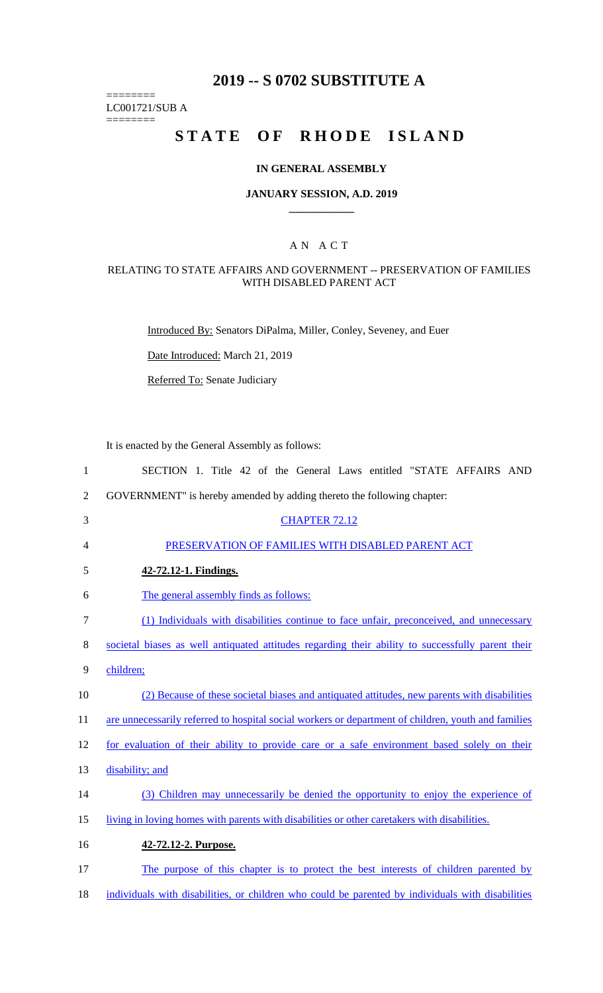## **2019 -- S 0702 SUBSTITUTE A**

LC001721/SUB A

========

========

# **STATE OF RHODE ISLAND**

### **IN GENERAL ASSEMBLY**

### **JANUARY SESSION, A.D. 2019 \_\_\_\_\_\_\_\_\_\_\_\_**

## A N A C T

## RELATING TO STATE AFFAIRS AND GOVERNMENT -- PRESERVATION OF FAMILIES WITH DISABLED PARENT ACT

Introduced By: Senators DiPalma, Miller, Conley, Seveney, and Euer

Date Introduced: March 21, 2019

Referred To: Senate Judiciary

It is enacted by the General Assembly as follows:

| $\mathbf{1}$   | SECTION 1. Title 42 of the General Laws entitled "STATE AFFAIRS AND                                 |
|----------------|-----------------------------------------------------------------------------------------------------|
| $\overline{2}$ | GOVERNMENT" is hereby amended by adding thereto the following chapter:                              |
| 3              | <b>CHAPTER 72.12</b>                                                                                |
| 4              | PRESERVATION OF FAMILIES WITH DISABLED PARENT ACT                                                   |
| 5              | 42-72.12-1. Findings.                                                                               |
| 6              | The general assembly finds as follows:                                                              |
| $\tau$         | (1) Individuals with disabilities continue to face unfair, preconceived, and unnecessary            |
| 8              | societal biases as well antiquated attitudes regarding their ability to successfully parent their   |
| 9              | children;                                                                                           |
| 10             | (2) Because of these societal biases and antiquated attitudes, new parents with disabilities        |
| 11             | are unnecessarily referred to hospital social workers or department of children, youth and families |
| 12             | for evaluation of their ability to provide care or a safe environment based solely on their         |
| 13             | disability; and                                                                                     |
| 14             | (3) Children may unnecessarily be denied the opportunity to enjoy the experience of                 |
| 15             | living in loving homes with parents with disabilities or other caretakers with disabilities.        |
| 16             | 42-72.12-2. Purpose.                                                                                |
| 17             | The purpose of this chapter is to protect the best interests of children parented by                |
| 18             | individuals with disabilities, or children who could be parented by individuals with disabilities   |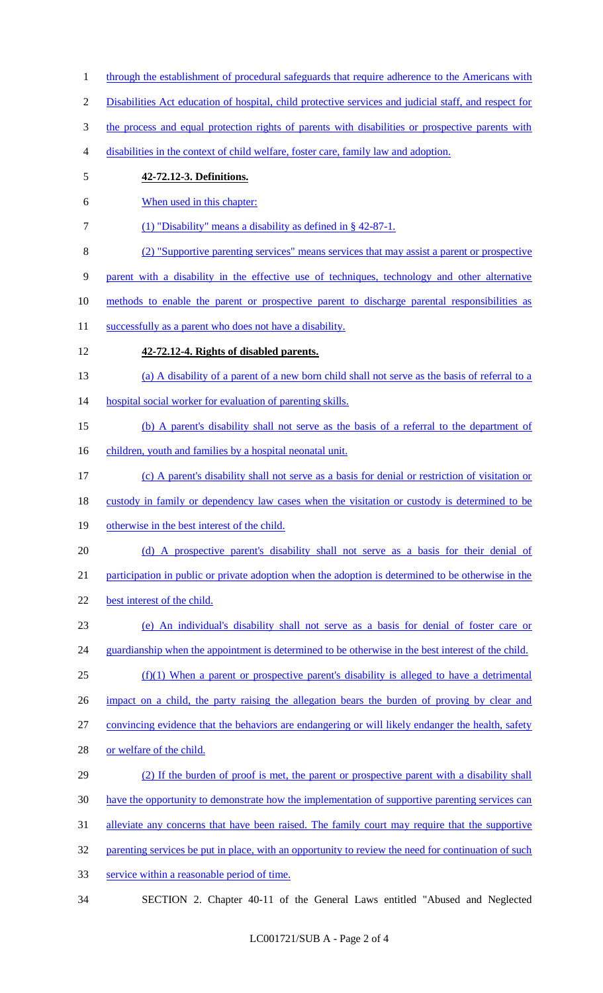- 1 through the establishment of procedural safeguards that require adherence to the Americans with
- Disabilities Act education of hospital, child protective services and judicial staff, and respect for
- 3 the process and equal protection rights of parents with disabilities or prospective parents with
- disabilities in the context of child welfare, foster care, family law and adoption.
- **42-72.12-3. Definitions.**
- When used in this chapter:
- (1) "Disability" means a disability as defined in § 42-87-1.
- (2) "Supportive parenting services" means services that may assist a parent or prospective

parent with a disability in the effective use of techniques, technology and other alternative

- methods to enable the parent or prospective parent to discharge parental responsibilities as
- 11 successfully as a parent who does not have a disability.
- **42-72.12-4. Rights of disabled parents.**
- (a) A disability of a parent of a new born child shall not serve as the basis of referral to a
- 14 hospital social worker for evaluation of parenting skills.
- (b) A parent's disability shall not serve as the basis of a referral to the department of
- 16 children, youth and families by a hospital neonatal unit.
- (c) A parent's disability shall not serve as a basis for denial or restriction of visitation or
- 18 custody in family or dependency law cases when the visitation or custody is determined to be
- 19 otherwise in the best interest of the child.
- (d) A prospective parent's disability shall not serve as a basis for their denial of

participation in public or private adoption when the adoption is determined to be otherwise in the

- 22 best interest of the child.
- (e) An individual's disability shall not serve as a basis for denial of foster care or 24 guardianship when the appointment is determined to be otherwise in the best interest of the child.
- (f)(1) When a parent or prospective parent's disability is alleged to have a detrimental
- impact on a child, the party raising the allegation bears the burden of proving by clear and
- convincing evidence that the behaviors are endangering or will likely endanger the health, safety
- or welfare of the child.
- (2) If the burden of proof is met, the parent or prospective parent with a disability shall have the opportunity to demonstrate how the implementation of supportive parenting services can alleviate any concerns that have been raised. The family court may require that the supportive 32 parenting services be put in place, with an opportunity to review the need for continuation of such
- service within a reasonable period of time.
- SECTION 2. Chapter 40-11 of the General Laws entitled "Abused and Neglected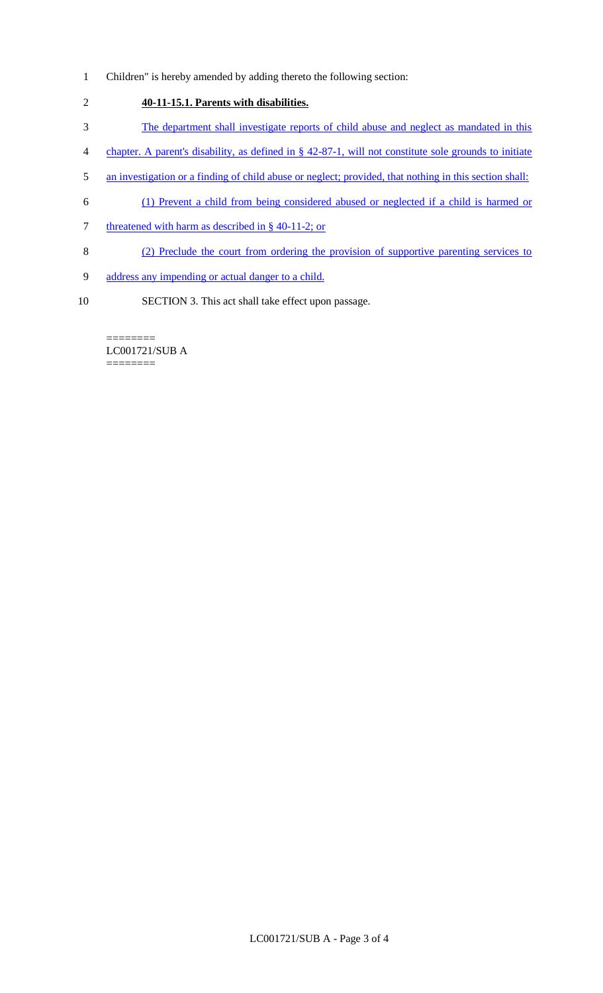Children" is hereby amended by adding thereto the following section:

## **40-11-15.1. Parents with disabilities.**

- The department shall investigate reports of child abuse and neglect as mandated in this
- chapter. A parent's disability, as defined in § 42-87-1, will not constitute sole grounds to initiate
- an investigation or a finding of child abuse or neglect; provided, that nothing in this section shall:
- (1) Prevent a child from being considered abused or neglected if a child is harmed or
- 7 threatened with harm as described in § 40-11-2; or
- (2) Preclude the court from ordering the provision of supportive parenting services to
- address any impending or actual danger to a child.
- SECTION 3. This act shall take effect upon passage.

======== LC001721/SUB A ========